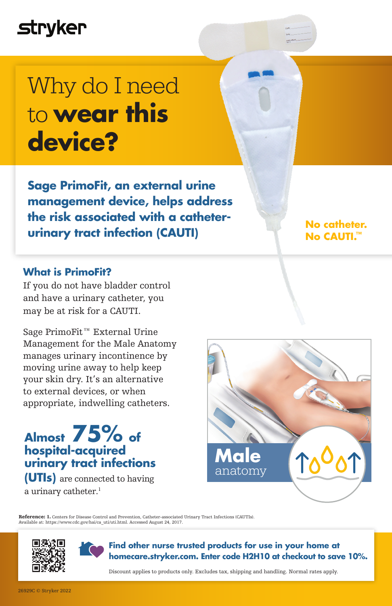## **stryker**

## Why do I need to **wear this device?**

**Sage PrimoFit, an external urine management device, helps address the risk associated with a catheterurinary tract infection (CAUTI)**

#### **What is PrimoFit?**

If you do not have bladder control and have a urinary catheter, you may be at risk for a CAUTI.

Sage PrimoFit™ External Urine Management for the Male Anatomy manages urinary incontinence by moving urine away to help keep your skin dry. It's an alternative to external devices, or when appropriate, indwelling catheters.

### **Almost 75% of hospital-acquired urinary tract infections**

**(UTIs)** are connected to having a urinary catheter. 1



**No catheter. No CAUTI.™**

Reference: 1. Centers for Disease Control and Prevention, Catheter-associated Urinary Tract Infections (CAUTIs). Available at: https://www.cdc.gov/hai/ca\_uti/uti.html. Accessed August 24, 2017.





**Find other nurse trusted products for use in your home at homecare.stryker.com. Enter code H2H10 at checkout to save 10%.**

Discount applies to products only. Excludes tax, shipping and handling. Normal rates apply.